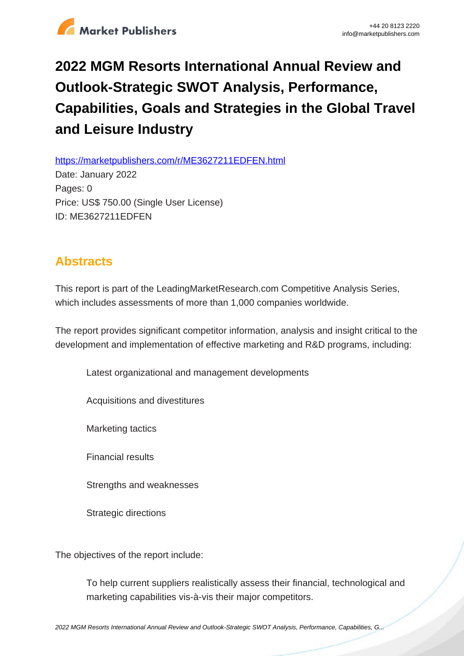

## **2022 MGM Resorts International Annual Review and Outlook-Strategic SWOT Analysis, Performance, Capabilities, Goals and Strategies in the Global Travel and Leisure Industry**

https://marketpublishers.com/r/ME3627211EDFEN.html

Date: January 2022 Pages: 0 Price: US\$ 750.00 (Single User License) ID: ME3627211EDFEN

## **Abstracts**

This report is part of the LeadingMarketResearch.com Competitive Analysis Series, which includes assessments of more than 1,000 companies worldwide.

The report provides significant competitor information, analysis and insight critical to the development and implementation of effective marketing and R&D programs, including:

Latest organizational and management developments

Acquisitions and divestitures

Marketing tactics

Financial results

Strengths and weaknesses

Strategic directions

The objectives of the report include:

To help current suppliers realistically assess their financial, technological and marketing capabilities vis-à-vis their major competitors.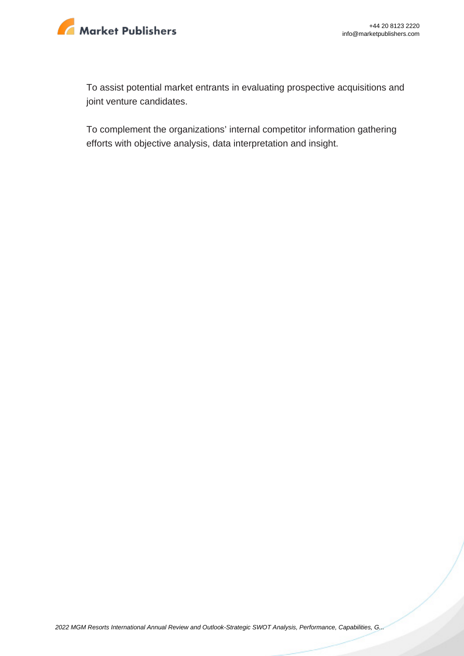

To assist potential market entrants in evaluating prospective acquisitions and joint venture candidates.

To complement the organizations' internal competitor information gathering efforts with objective analysis, data interpretation and insight.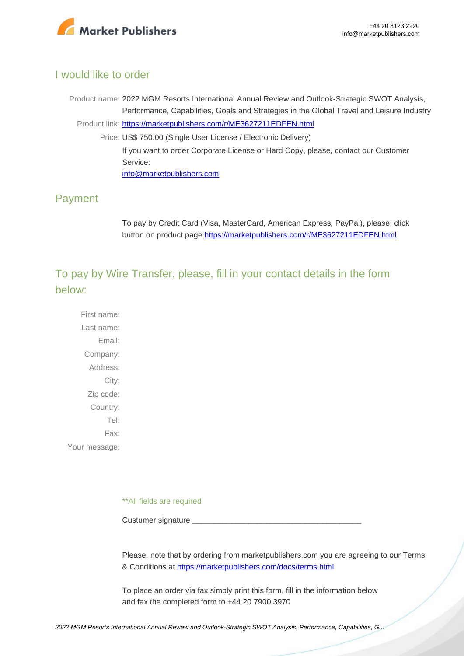

## I would like to order

Product name: 2022 MGM Resorts International Annual Review and Outlook-Strategic SWOT Analysis, Performance, Capabilities, Goals and Strategies in the Global Travel and Leisure Industry Product link: [https://marketpublishers.com/r/ME3627211EDFEN.html](https://marketpublishers.com/report/services/travel-leisure/mgm-resorts-international-annual-review-n-outlook-strategic-swot-analysis-performance-capabilities-goals-n-strategies-in-global-travel-n-leisure.html) Price: US\$ 750.00 (Single User License / Electronic Delivery) If you want to order Corporate License or Hard Copy, please, contact our Customer Service: [info@marketpublishers.com](mailto:info@marketpublishers.com)

## Payment

To pay by Credit Card (Visa, MasterCard, American Express, PayPal), please, click button on product page [https://marketpublishers.com/r/ME3627211EDFEN.html](https://marketpublishers.com/report/services/travel-leisure/mgm-resorts-international-annual-review-n-outlook-strategic-swot-analysis-performance-capabilities-goals-n-strategies-in-global-travel-n-leisure.html)

To pay by Wire Transfer, please, fill in your contact details in the form below:

First name: Last name: Email: Company: Address: City: Zip code: Country: Tel: Fax: Your message:

\*\*All fields are required

Custumer signature

Please, note that by ordering from marketpublishers.com you are agreeing to our Terms & Conditions at<https://marketpublishers.com/docs/terms.html>

To place an order via fax simply print this form, fill in the information below and fax the completed form to +44 20 7900 3970